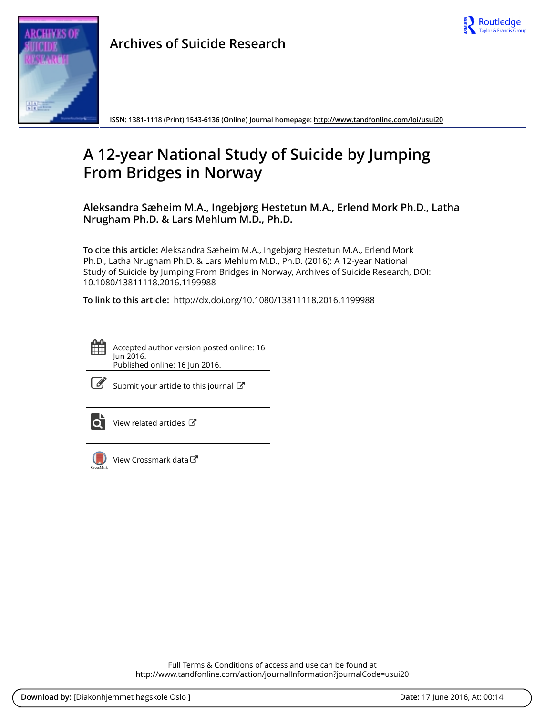

**ISSN: 1381-1118 (Print) 1543-6136 (Online) Journal homepage:<http://www.tandfonline.com/loi/usui20>**

# **A 12-year National Study of Suicide by Jumping From Bridges in Norway**

**Aleksandra Sæheim M.A., Ingebjørg Hestetun M.A., Erlend Mork Ph.D., Latha Nrugham Ph.D. & Lars Mehlum M.D., Ph.D.**

**To cite this article:** Aleksandra Sæheim M.A., Ingebjørg Hestetun M.A., Erlend Mork Ph.D., Latha Nrugham Ph.D. & Lars Mehlum M.D., Ph.D. (2016): A 12-year National Study of Suicide by Jumping From Bridges in Norway, Archives of Suicide Research, DOI: [10.1080/13811118.2016.1199988](http://www.tandfonline.com/action/showCitFormats?doi=10.1080/13811118.2016.1199988)

**To link to this article:** <http://dx.doi.org/10.1080/13811118.2016.1199988>



Accepted author version posted online: 16 Jun 2016. Published online: 16 Jun 2016.

|--|--|--|

[Submit your article to this journal](http://www.tandfonline.com/action/authorSubmission?journalCode=usui20&page=instructions)  $\mathbb{Z}$ 



[View related articles](http://www.tandfonline.com/doi/mlt/10.1080/13811118.2016.1199988) 



[View Crossmark data](http://crossmark.crossref.org/dialog/?doi=10.1080/13811118.2016.1199988&domain=pdf&date_stamp=2016-06-16)<sup>C</sup>

Full Terms & Conditions of access and use can be found at <http://www.tandfonline.com/action/journalInformation?journalCode=usui20>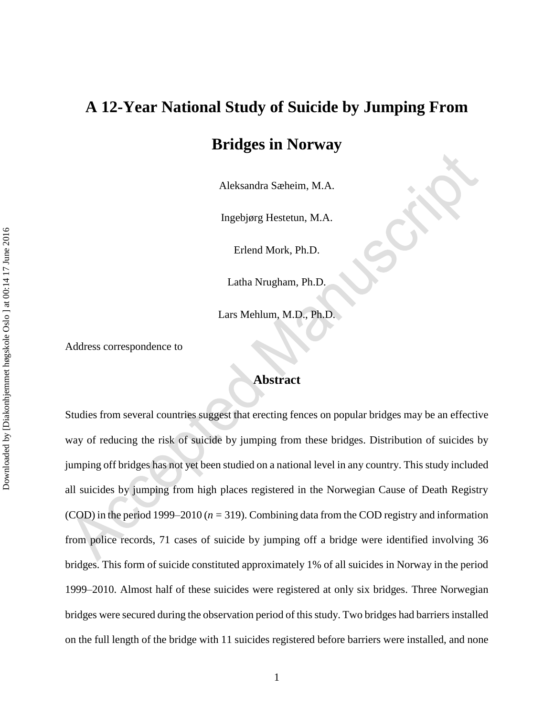# **A 12-Year National Study of Suicide by Jumping From Bridges in Norway**

Aleksandra Sæheim, M.A.

Ingebjørg Hestetun, M.A.

Erlend Mork, Ph.D.

Latha Nrugham, Ph.D.

Lars Mehlum, M.D., Ph.D.

Address correspondence to

#### **Abstract**

Studies from several countries suggest that erecting fences on popular bridges may be an effective way of reducing the risk of suicide by jumping from these bridges. Distribution of suicides by jumping off bridges has not yet been studied on a national level in any country. This study included all suicides by jumping from high places registered in the Norwegian Cause of Death Registry (COD) in the period 1999–2010 (*n* = 319). Combining data from the COD registry and information from police records, 71 cases of suicide by jumping off a bridge were identified involving 36 bridges. This form of suicide constituted approximately 1% of all suicides in Norway in the period 1999–2010. Almost half of these suicides were registered at only six bridges. Three Norwegian bridges were secured during the observation period of this study. Two bridges had barriers installed on the full length of the bridge with 11 suicides registered before barriers were installed, and none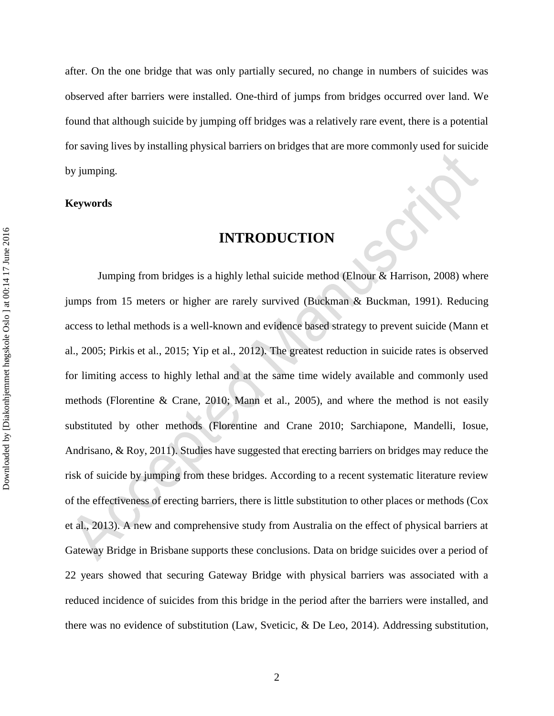after. On the one bridge that was only partially secured, no change in numbers of suicides was observed after barriers were installed. One-third of jumps from bridges occurred over land. We found that although suicide by jumping off bridges was a relatively rare event, there is a potential for saving lives by installing physical barriers on bridges that are more commonly used for suicide by jumping.

#### **Keywords**

# **INTRODUCTION**

Jumping from bridges is a highly lethal suicide method (Elnour & Harrison, 2008) where jumps from 15 meters or higher are rarely survived (Buckman & Buckman, 1991). Reducing access to lethal methods is a well-known and evidence based strategy to prevent suicide (Mann et al., 2005; Pirkis et al., 2015; Yip et al., 2012). The greatest reduction in suicide rates is observed for limiting access to highly lethal and at the same time widely available and commonly used methods (Florentine & Crane, 2010; Mann et al., 2005), and where the method is not easily substituted by other methods (Florentine and Crane 2010; Sarchiapone, Mandelli, Iosue, Andrisano, & Roy, 2011). Studies have suggested that erecting barriers on bridges may reduce the risk of suicide by jumping from these bridges. According to a recent systematic literature review of the effectiveness of erecting barriers, there is little substitution to other places or methods (Cox et al., 2013). A new and comprehensive study from Australia on the effect of physical barriers at Gateway Bridge in Brisbane supports these conclusions. Data on bridge suicides over a period of 22 years showed that securing Gateway Bridge with physical barriers was associated with a reduced incidence of suicides from this bridge in the period after the barriers were installed, and there was no evidence of substitution (Law, Sveticic, & De Leo, 2014). Addressing substitution,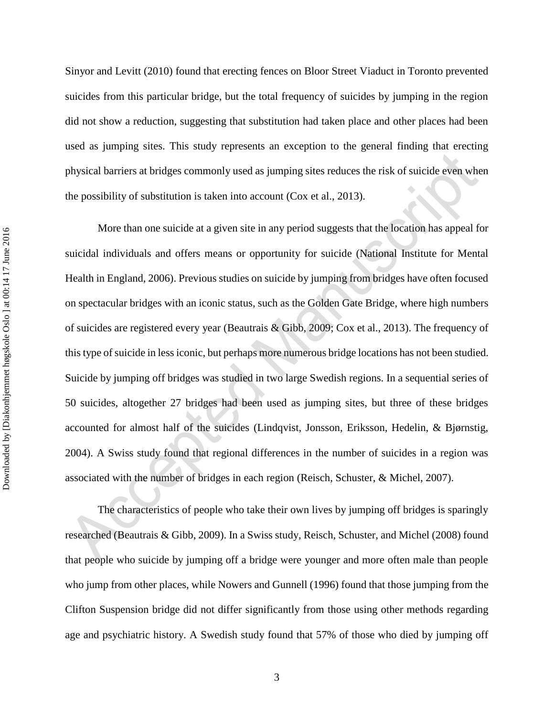Sinyor and Levitt (2010) found that erecting fences on Bloor Street Viaduct in Toronto prevented suicides from this particular bridge, but the total frequency of suicides by jumping in the region did not show a reduction, suggesting that substitution had taken place and other places had been used as jumping sites. This study represents an exception to the general finding that erecting physical barriers at bridges commonly used as jumping sites reduces the risk of suicide even when the possibility of substitution is taken into account (Cox et al., 2013).

More than one suicide at a given site in any period suggests that the location has appeal for suicidal individuals and offers means or opportunity for suicide (National Institute for Mental Health in England, 2006). Previous studies on suicide by jumping from bridges have often focused on spectacular bridges with an iconic status, such as the Golden Gate Bridge, where high numbers of suicides are registered every year (Beautrais & Gibb, 2009; Cox et al., 2013). The frequency of this type of suicide in less iconic, but perhaps more numerous bridge locations has not been studied. Suicide by jumping off bridges was studied in two large Swedish regions. In a sequential series of 50 suicides, altogether 27 bridges had been used as jumping sites, but three of these bridges accounted for almost half of the suicides (Lindqvist, Jonsson, Eriksson, Hedelin, & Bjørnstig, 2004). A Swiss study found that regional differences in the number of suicides in a region was associated with the number of bridges in each region (Reisch, Schuster, & Michel, 2007).

The characteristics of people who take their own lives by jumping off bridges is sparingly researched (Beautrais & Gibb, 2009). In a Swiss study, Reisch, Schuster, and Michel (2008) found that people who suicide by jumping off a bridge were younger and more often male than people who jump from other places, while Nowers and Gunnell (1996) found that those jumping from the Clifton Suspension bridge did not differ significantly from those using other methods regarding age and psychiatric history. A Swedish study found that 57% of those who died by jumping off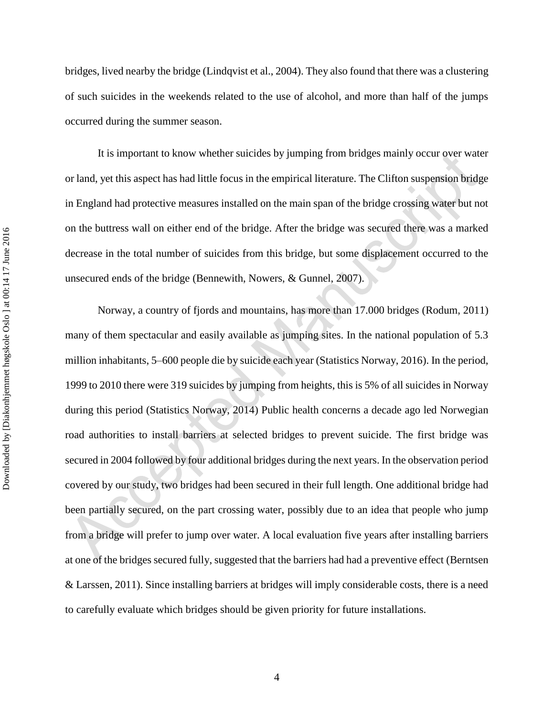bridges, lived nearby the bridge (Lindqvist et al., 2004). They also found that there was a clustering of such suicides in the weekends related to the use of alcohol, and more than half of the jumps occurred during the summer season.

It is important to know whether suicides by jumping from bridges mainly occur over water or land, yet this aspect has had little focus in the empirical literature. The Clifton suspension bridge in England had protective measures installed on the main span of the bridge crossing water but not on the buttress wall on either end of the bridge. After the bridge was secured there was a marked decrease in the total number of suicides from this bridge, but some displacement occurred to the unsecured ends of the bridge (Bennewith, Nowers, & Gunnel, 2007).

Norway, a country of fjords and mountains, has more than 17.000 bridges (Rodum, 2011) many of them spectacular and easily available as jumping sites. In the national population of 5.3 million inhabitants, 5–600 people die by suicide each year (Statistics Norway, 2016). In the period, 1999 to 2010 there were 319 suicides by jumping from heights, this is 5% of all suicides in Norway during this period (Statistics Norway, 2014) Public health concerns a decade ago led Norwegian road authorities to install barriers at selected bridges to prevent suicide. The first bridge was secured in 2004 followed by four additional bridges during the next years. In the observation period covered by our study, two bridges had been secured in their full length. One additional bridge had been partially secured, on the part crossing water, possibly due to an idea that people who jump from a bridge will prefer to jump over water. A local evaluation five years after installing barriers at one of the bridges secured fully, suggested that the barriers had had a preventive effect (Berntsen & Larssen, 2011). Since installing barriers at bridges will imply considerable costs, there is a need to carefully evaluate which bridges should be given priority for future installations.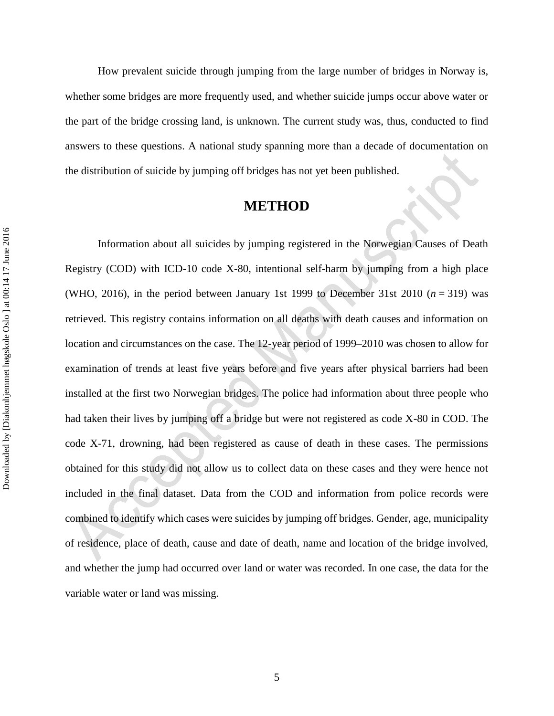How prevalent suicide through jumping from the large number of bridges in Norway is, whether some bridges are more frequently used, and whether suicide jumps occur above water or the part of the bridge crossing land, is unknown. The current study was, thus, conducted to find answers to these questions. A national study spanning more than a decade of documentation on the distribution of suicide by jumping off bridges has not yet been published.

# **METHOD**

Information about all suicides by jumping registered in the Norwegian Causes of Death Registry (COD) with ICD-10 code X-80, intentional self-harm by jumping from a high place (WHO, 2016), in the period between January 1st 1999 to December 31st 2010 ( $n = 319$ ) was retrieved. This registry contains information on all deaths with death causes and information on location and circumstances on the case. The 12-year period of 1999–2010 was chosen to allow for examination of trends at least five years before and five years after physical barriers had been installed at the first two Norwegian bridges. The police had information about three people who had taken their lives by jumping off a bridge but were not registered as code X-80 in COD. The code X-71, drowning, had been registered as cause of death in these cases. The permissions obtained for this study did not allow us to collect data on these cases and they were hence not included in the final dataset. Data from the COD and information from police records were combined to identify which cases were suicides by jumping off bridges. Gender, age, municipality of residence, place of death, cause and date of death, name and location of the bridge involved, and whether the jump had occurred over land or water was recorded. In one case, the data for the variable water or land was missing.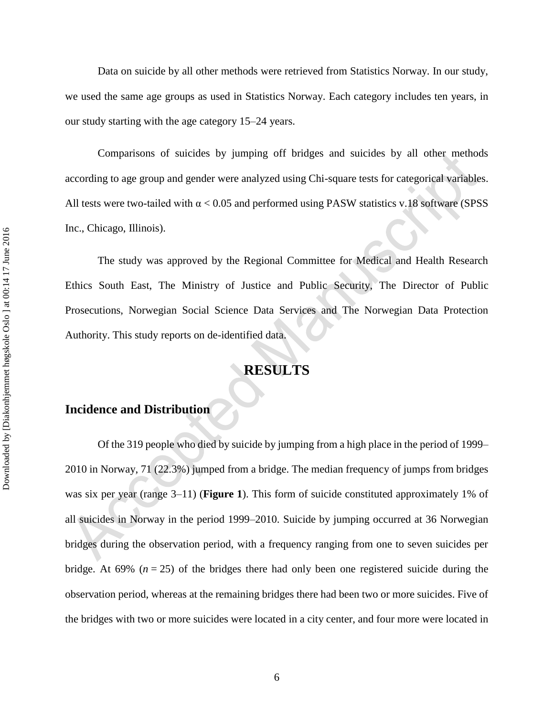Data on suicide by all other methods were retrieved from Statistics Norway. In our study, we used the same age groups as used in Statistics Norway. Each category includes ten years, in our study starting with the age category 15–24 years.

Comparisons of suicides by jumping off bridges and suicides by all other methods according to age group and gender were analyzed using Chi-square tests for categorical variables. All tests were two-tailed with  $\alpha$  < 0.05 and performed using PASW statistics v.18 software (SPSS Inc., Chicago, Illinois).

The study was approved by the Regional Committee for Medical and Health Research Ethics South East, The Ministry of Justice and Public Security, The Director of Public Prosecutions, Norwegian Social Science Data Services and The Norwegian Data Protection Authority. This study reports on de-identified data.

# **RESULTS**

### **Incidence and Distribution**

Of the 319 people who died by suicide by jumping from a high place in the period of 1999– 2010 in Norway, 71 (22.3%) jumped from a bridge. The median frequency of jumps from bridges was six per year (range 3–11) (**Figure 1**). This form of suicide constituted approximately 1% of all suicides in Norway in the period 1999–2010. Suicide by jumping occurred at 36 Norwegian bridges during the observation period, with a frequency ranging from one to seven suicides per bridge. At 69%  $(n = 25)$  of the bridges there had only been one registered suicide during the observation period, whereas at the remaining bridges there had been two or more suicides. Five of the bridges with two or more suicides were located in a city center, and four more were located in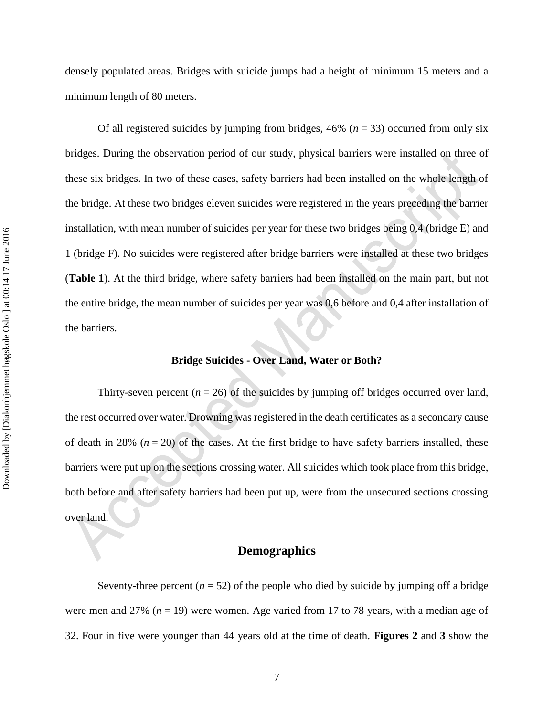densely populated areas. Bridges with suicide jumps had a height of minimum 15 meters and a minimum length of 80 meters.

Of all registered suicides by jumping from bridges,  $46\%$  ( $n = 33$ ) occurred from only six bridges. During the observation period of our study, physical barriers were installed on three of these six bridges. In two of these cases, safety barriers had been installed on the whole length of the bridge. At these two bridges eleven suicides were registered in the years preceding the barrier installation, with mean number of suicides per year for these two bridges being 0,4 (bridge E) and 1 (bridge F). No suicides were registered after bridge barriers were installed at these two bridges (**Table 1**). At the third bridge, where safety barriers had been installed on the main part, but not the entire bridge, the mean number of suicides per year was 0,6 before and 0,4 after installation of the barriers.

#### **Bridge Suicides - Over Land, Water or Both?**

Thirty-seven percent  $(n = 26)$  of the suicides by jumping off bridges occurred over land, the rest occurred over water. Drowning was registered in the death certificates as a secondary cause of death in 28%  $(n = 20)$  of the cases. At the first bridge to have safety barriers installed, these barriers were put up on the sections crossing water. All suicides which took place from this bridge, both before and after safety barriers had been put up, were from the unsecured sections crossing over land.

#### **Demographics**

Seventy-three percent  $(n = 52)$  of the people who died by suicide by jumping off a bridge were men and 27% (*n* = 19) were women. Age varied from 17 to 78 years, with a median age of 32. Four in five were younger than 44 years old at the time of death. **Figures 2** and **3** show the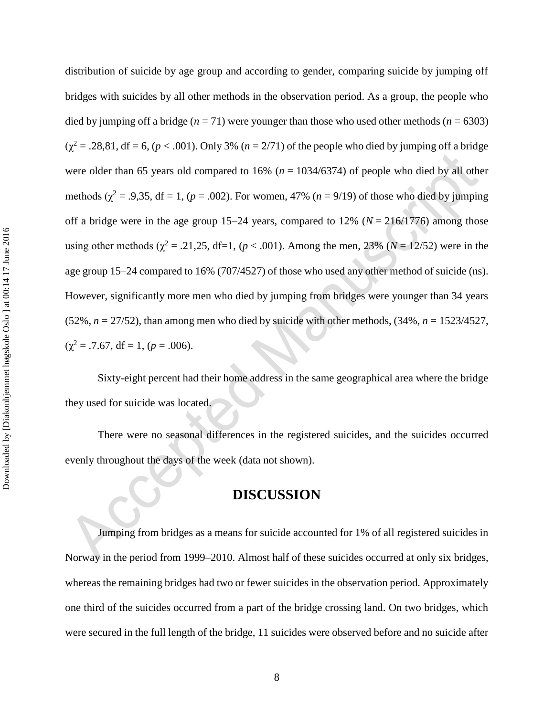distribution of suicide by age group and according to gender, comparing suicide by jumping off bridges with suicides by all other methods in the observation period. As a group, the people who died by jumping off a bridge ( $n = 71$ ) were younger than those who used other methods ( $n = 6303$ )  $(\chi^2 = .28,81, df = 6, (p < .001)$ . Only 3% (*n* = 2/71) of the people who died by jumping off a bridge were older than 65 years old compared to 16% (*n* = 1034/6374) of people who died by all other methods ( $\chi^2$  = .9,35, df = 1, ( $p$  = .002). For women, 47% ( $n = 9/19$ ) of those who died by jumping off a bridge were in the age group  $15-24$  years, compared to  $12\%$  ( $N = 216/1776$ ) among those using other methods ( $\chi^2 = .21,25, df=1, (p < .001)$ . Among the men, 23% ( $N = 12/52$ ) were in the age group 15–24 compared to 16% (707/4527) of those who used any other method of suicide (ns). However, significantly more men who died by jumping from bridges were younger than 34 years (52%,  $n = 27/52$ ), than among men who died by suicide with other methods,  $(34\%, n = 1523/4527,$  $(\chi^2 = .7.67, df = 1, (p = .006).$ 

Sixty-eight percent had their home address in the same geographical area where the bridge they used for suicide was located.

There were no seasonal differences in the registered suicides, and the suicides occurred evenly throughout the days of the week (data not shown).

# **DISCUSSION**

Jumping from bridges as a means for suicide accounted for 1% of all registered suicides in Norway in the period from 1999–2010. Almost half of these suicides occurred at only six bridges, whereas the remaining bridges had two or fewer suicides in the observation period. Approximately one third of the suicides occurred from a part of the bridge crossing land. On two bridges, which were secured in the full length of the bridge, 11 suicides were observed before and no suicide after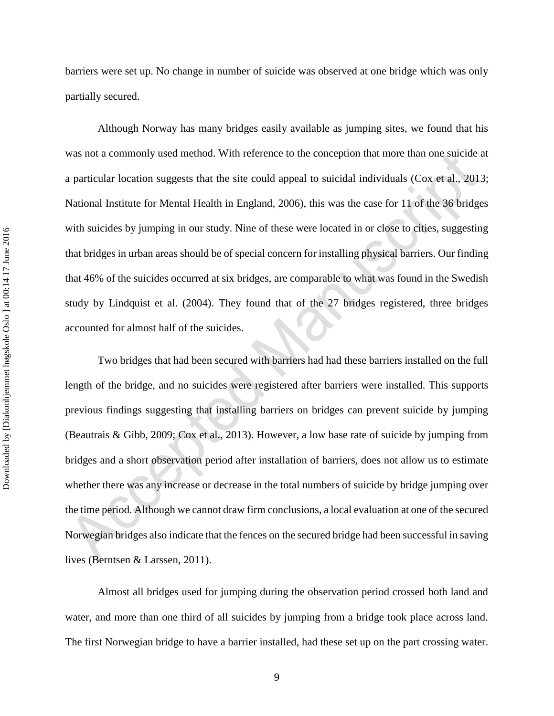barriers were set up. No change in number of suicide was observed at one bridge which was only partially secured.

Although Norway has many bridges easily available as jumping sites, we found that his was not a commonly used method. With reference to the conception that more than one suicide at a particular location suggests that the site could appeal to suicidal individuals (Cox et al., 2013; National Institute for Mental Health in England, 2006), this was the case for 11 of the 36 bridges with suicides by jumping in our study. Nine of these were located in or close to cities, suggesting that bridges in urban areas should be of special concern for installing physical barriers. Our finding that 46% of the suicides occurred at six bridges, are comparable to what was found in the Swedish study by Lindquist et al. (2004). They found that of the 27 bridges registered, three bridges accounted for almost half of the suicides.

Two bridges that had been secured with barriers had had these barriers installed on the full length of the bridge, and no suicides were registered after barriers were installed. This supports previous findings suggesting that installing barriers on bridges can prevent suicide by jumping (Beautrais & Gibb, 2009; Cox et al., 2013). However, a low base rate of suicide by jumping from bridges and a short observation period after installation of barriers, does not allow us to estimate whether there was any increase or decrease in the total numbers of suicide by bridge jumping over the time period. Although we cannot draw firm conclusions, a local evaluation at one of the secured Norwegian bridges also indicate that the fences on the secured bridge had been successful in saving lives (Berntsen & Larssen, 2011).

Almost all bridges used for jumping during the observation period crossed both land and water, and more than one third of all suicides by jumping from a bridge took place across land. The first Norwegian bridge to have a barrier installed, had these set up on the part crossing water.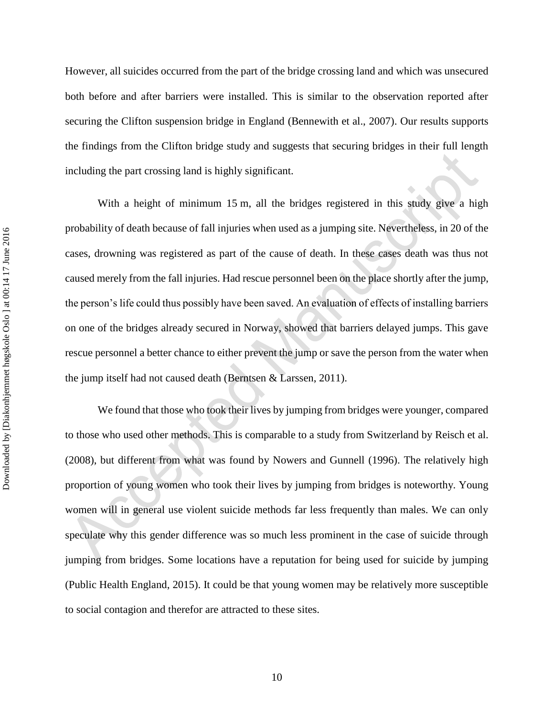However, all suicides occurred from the part of the bridge crossing land and which was unsecured both before and after barriers were installed. This is similar to the observation reported after securing the Clifton suspension bridge in England (Bennewith et al., 2007). Our results supports the findings from the Clifton bridge study and suggests that securing bridges in their full length including the part crossing land is highly significant.

With a height of minimum 15 m, all the bridges registered in this study give a high probability of death because of fall injuries when used as a jumping site. Nevertheless, in 20 of the cases, drowning was registered as part of the cause of death. In these cases death was thus not caused merely from the fall injuries. Had rescue personnel been on the place shortly after the jump, the person's life could thus possibly have been saved. An evaluation of effects of installing barriers on one of the bridges already secured in Norway, showed that barriers delayed jumps. This gave rescue personnel a better chance to either prevent the jump or save the person from the water when the jump itself had not caused death (Berntsen & Larssen, 2011).

We found that those who took their lives by jumping from bridges were younger, compared to those who used other methods. This is comparable to a study from Switzerland by Reisch et al. (2008), but different from what was found by Nowers and Gunnell (1996). The relatively high proportion of young women who took their lives by jumping from bridges is noteworthy. Young women will in general use violent suicide methods far less frequently than males. We can only speculate why this gender difference was so much less prominent in the case of suicide through jumping from bridges. Some locations have a reputation for being used for suicide by jumping (Public Health England, 2015). It could be that young women may be relatively more susceptible to social contagion and therefor are attracted to these sites.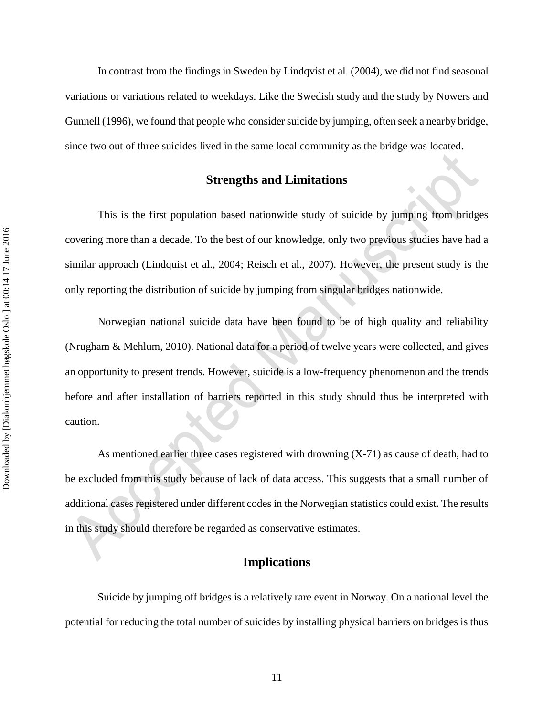In contrast from the findings in Sweden by Lindqvist et al. (2004), we did not find seasonal variations or variations related to weekdays. Like the Swedish study and the study by Nowers and Gunnell (1996), we found that people who consider suicide by jumping, often seek a nearby bridge, since two out of three suicides lived in the same local community as the bridge was located.

#### **Strengths and Limitations**

This is the first population based nationwide study of suicide by jumping from bridges covering more than a decade. To the best of our knowledge, only two previous studies have had a similar approach (Lindquist et al., 2004; Reisch et al., 2007). However, the present study is the only reporting the distribution of suicide by jumping from singular bridges nationwide.

Norwegian national suicide data have been found to be of high quality and reliability (Nrugham & Mehlum, 2010). National data for a period of twelve years were collected, and gives an opportunity to present trends. However, suicide is a low-frequency phenomenon and the trends before and after installation of barriers reported in this study should thus be interpreted with caution.

As mentioned earlier three cases registered with drowning (X-71) as cause of death, had to be excluded from this study because of lack of data access. This suggests that a small number of additional cases registered under different codes in the Norwegian statistics could exist. The results in this study should therefore be regarded as conservative estimates.

#### **Implications**

Suicide by jumping off bridges is a relatively rare event in Norway. On a national level the potential for reducing the total number of suicides by installing physical barriers on bridges is thus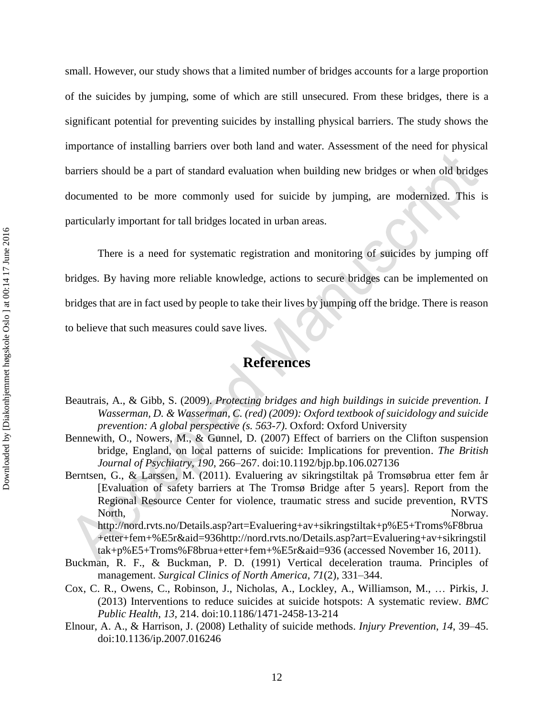small. However, our study shows that a limited number of bridges accounts for a large proportion of the suicides by jumping, some of which are still unsecured. From these bridges, there is a significant potential for preventing suicides by installing physical barriers. The study shows the importance of installing barriers over both land and water. Assessment of the need for physical barriers should be a part of standard evaluation when building new bridges or when old bridges documented to be more commonly used for suicide by jumping, are modernized. This is particularly important for tall bridges located in urban areas.

There is a need for systematic registration and monitoring of suicides by jumping off bridges. By having more reliable knowledge, actions to secure bridges can be implemented on bridges that are in fact used by people to take their lives by jumping off the bridge. There is reason to believe that such measures could save lives.

# **References**

- Beautrais, A., & Gibb, S. (2009). *Protecting bridges and high buildings in suicide prevention. I Wasserman, D. & Wasserman, C. (red) (2009): Oxford textbook of suicidology and suicide prevention: A global perspective (s. 563-7)*. Oxford: Oxford University
- Bennewith, O., Nowers, M., & Gunnel, D. (2007) Effect of barriers on the Clifton suspension bridge, England, on local patterns of suicide: Implications for prevention. *The British Journal of Psychiatry*, *190*, 266–267. doi:10.1192/bjp.bp.106.027136
- Berntsen, G., & Larssen, M. (2011). Evaluering av sikringstiltak på Tromsøbrua etter fem år [Evaluation of safety barriers at The Tromsø Bridge after 5 years]. Report from the Regional Resource Center for violence, traumatic stress and sucide prevention, RVTS North, Norway. http://nord.rvts.no/Details.asp?art=Evaluering+av+sikringstiltak+p%E5+Troms%F8brua

+etter+fem+%E5r&aid=936http://nord.rvts.no/Details.asp?art=Evaluering+av+sikringstil tak+p%E5+Troms%F8brua+etter+fem+%E5r&aid=936 (accessed November 16, 2011).

- Buckman, R. F., & Buckman, P. D. (1991) Vertical deceleration trauma. Principles of management. *Surgical Clinics of North America*, *71*(2), 331–344.
- Cox, C. R., Owens, C., Robinson, J., Nicholas, A., Lockley, A., Williamson, M., ... Pirkis, J. (2013) Interventions to reduce suicides at suicide hotspots: A systematic review. *BMC Public Health*, *13*, 214. doi:10.1186/1471-2458-13-214
- Elnour, A. A., & Harrison, J. (2008) Lethality of suicide methods. *Injury Prevention*, *14*, 39–45. doi:10.1136/ip.2007.016246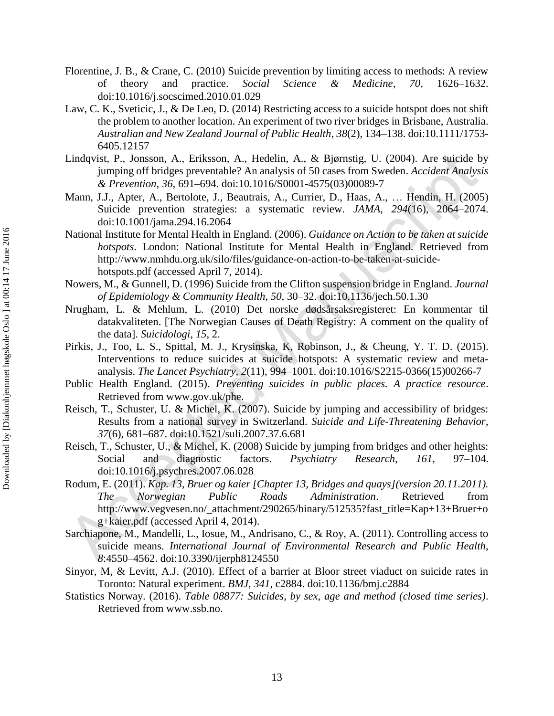- Florentine, J. B., & Crane, C. (2010) Suicide prevention by limiting access to methods: A review of theory and practice. *Social Science & Medicine*, *70*, 1626–1632. doi:10.1016/j.socscimed.2010.01.029
- Law, C. K., Sveticic, J., & De Leo, D. (2014) Restricting access to a suicide hotspot does not shift the problem to another location. An experiment of two river bridges in Brisbane, Australia. *Australian and New Zealand Journal of Public Health*, *38*(2), 134–138. doi:10.1111/1753- 6405.12157
- Lindqvist, P., Jonsson, A., Eriksson, A., Hedelin, A., & Bjørnstig, U. (2004). Are suicide by jumping off bridges preventable? An analysis of 50 cases from Sweden. *Accident Analysis & Prevention*, *36*, 691–694. doi:10.1016/S0001-4575(03)00089-7
- Mann, J.J., Apter, A., Bertolote, J., Beautrais, A., Currier, D., Haas, A., ... Hendin, H. (2005) Suicide prevention strategies: a systematic review. *JAMA*, *294*(16), 2064–2074. doi:10.1001/jama.294.16.2064
- National Institute for Mental Health in England. (2006). *Guidance on Action to be taken at suicide hotspots*. London: National Institute for Mental Health in England. Retrieved from http://www.nmhdu.org.uk/silo/files/guidance-on-action-to-be-taken-at-suicidehotspots.pdf (accessed April 7, 2014).
- Nowers, M., & Gunnell, D. (1996) Suicide from the Clifton suspension bridge in England. *Journal of Epidemiology & Community Health*, *50*, 30–32. doi:10.1136/jech.50.1.30
- Nrugham, L. & Mehlum, L. (2010) Det norske dødsårsaksregisteret: En kommentar til datakvaliteten. [The Norwegian Causes of Death Registry: A comment on the quality of the data]. *Suicidologi*, *15*, 2.
- Pirkis, J., Too, L. S., Spittal, M. J., Krysinska, K, Robinson, J., & Cheung, Y. T. D. (2015). Interventions to reduce suicides at suicide hotspots: A systematic review and metaanalysis. *The Lancet Psychiatry*, *2*(11), 994–1001. doi:10.1016/S2215-0366(15)00266-7
- Public Health England. (2015). *Preventing suicides in public places. A practice resource*. Retrieved from www.gov.uk/phe.
- Reisch, T., Schuster, U. & Michel, K. (2007). Suicide by jumping and accessibility of bridges: Results from a national survey in Switzerland. *Suicide and Life-Threatening Behavior*, *37*(6), 681–687. doi:10.1521/suli.2007.37.6.681
- Reisch, T., Schuster, U., & Michel, K. (2008) Suicide by jumping from bridges and other heights: Social and diagnostic factors. *Psychiatry Research*, *161*, 97–104. doi:10.1016/j.psychres.2007.06.028
- Rodum, E. (2011). *Kap. 13, Bruer og kaier [Chapter 13, Bridges and quays](version 20.11.2011). The Norwegian Public Roads Administration*. Retrieved from http://www.vegvesen.no/\_attachment/290265/binary/512535?fast\_title=Kap+13+Bruer+o g+kaier.pdf (accessed April 4, 2014).
- Sarchiapone, M., Mandelli, L., Iosue, M., Andrisano, C., & Roy, A. (2011). Controlling access to suicide means. *International Journal of Environmental Research and Public Health*, *8*:4550–4562. doi:10.3390/ijerph8124550
- Sinyor, M, & Levitt, A.J. (2010). Effect of a barrier at Bloor street viaduct on suicide rates in Toronto: Natural experiment. *BMJ*, *341*, c2884. doi:10.1136/bmj.c2884
- Statistics Norway. (2016). *Table 08877: Suicides, by sex, age and method (closed time series)*. Retrieved from www.ssb.no.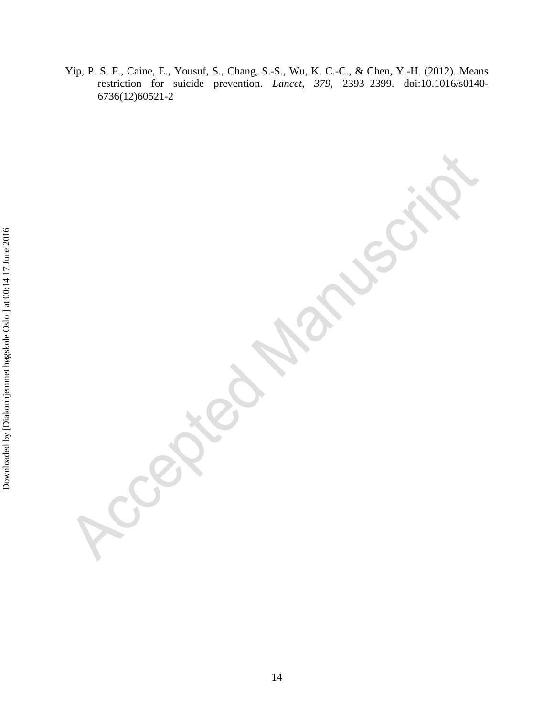Yip, P. S. F., Caine, E., Yousuf, S., Chang, S.-S., Wu, K. C.-C., & Chen, Y.-H. (2012). Means restriction for suicide prevention. *Lancet*, *379*, 2393–2399. doi:10.1016/s0140- 6736(12)60521-2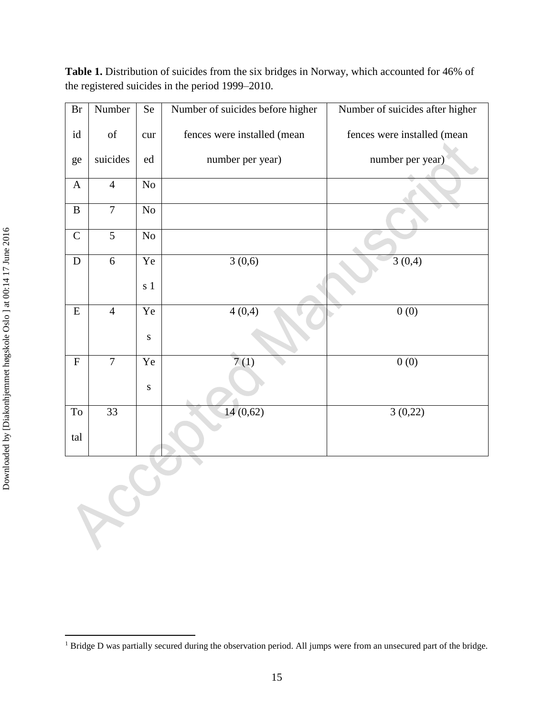**Table 1.** Distribution of suicides from the six bridges in Norway, which accounted for 46% of the registered suicides in the period 1999–2010.

| Br                  | Number                                                                                             | Se        | Number of suicides before higher | Number of suicides after higher |
|---------------------|----------------------------------------------------------------------------------------------------|-----------|----------------------------------|---------------------------------|
| id                  | $% \left( \left( \mathcal{A},\mathcal{A}\right) \right) =\left( \mathcal{A},\mathcal{A}\right)$ of | cur       | fences were installed (mean      | fences were installed (mean     |
| ge                  | suicides                                                                                           | ed        | number per year)                 | number per year)                |
| $\mathbf{A}$        | $\overline{4}$                                                                                     | No        |                                  |                                 |
| $\, {\bf B}$        | $\overline{7}$                                                                                     | No        |                                  |                                 |
| $\mathsf C$         | $\overline{5}$                                                                                     | No        |                                  |                                 |
| ${\bf D}$           | 6                                                                                                  | Ye        | 3(0,6)                           | 3(0,4)                          |
|                     |                                                                                                    | s 1       |                                  |                                 |
| ${\bf E}$           | $\overline{4}$                                                                                     | Ye        | 4(0,4)                           | 0(0)                            |
|                     |                                                                                                    | ${\bf S}$ |                                  |                                 |
| ${\bf F}$           | $\overline{7}$                                                                                     | Ye        | $\overline{7}(1)$                | 0(0)                            |
|                     |                                                                                                    | ${\bf S}$ |                                  |                                 |
| $\operatorname{To}$ | $\overline{33}$                                                                                    |           | 14(0,62)                         | 3(0,22)                         |
| tal                 |                                                                                                    |           |                                  |                                 |

 $\overline{a}$ 

<sup>&</sup>lt;sup>1</sup> Bridge D was partially secured during the observation period. All jumps were from an unsecured part of the bridge.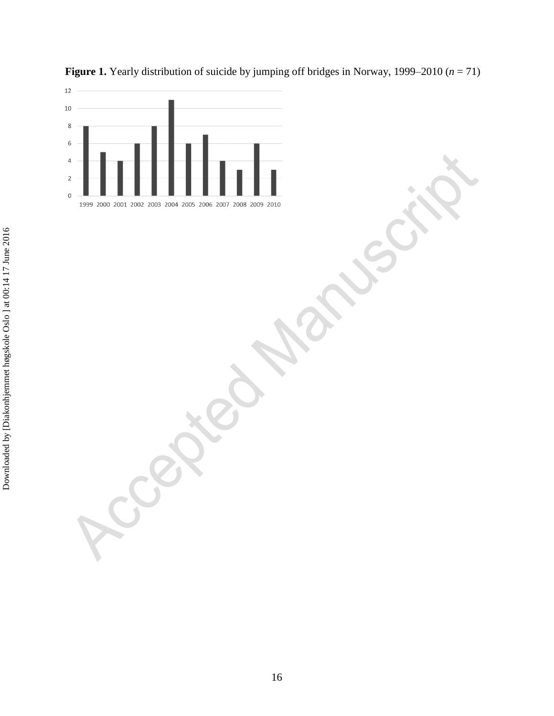

**Figure 1.** Yearly distribution of suicide by jumping off bridges in Norway, 1999–2010 (*n* = 71)

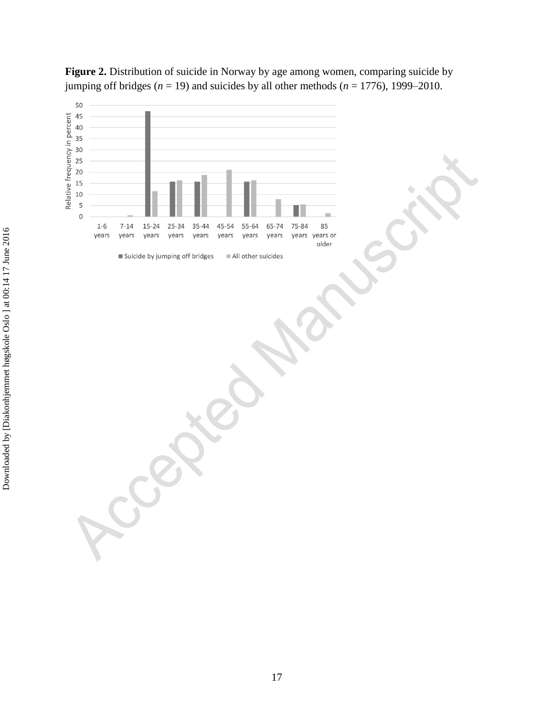

**Figure 2.** Distribution of suicide in Norway by age among women, comparing suicide by jumping off bridges  $(n = 19)$  and suicides by all other methods  $(n = 1776)$ , 1999–2010.